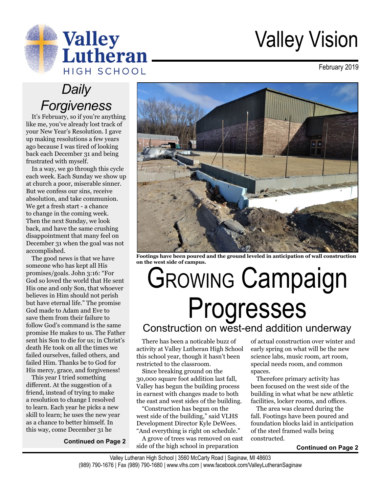

# Valley Vision

February 2019

# *Daily Forgiveness*

It's February, so if you're anything like me, you've already lost track of your New Year's Resolution. I gave up making resolutions a few years ago because I was tired of looking back each December 31 and being frustrated with myself.

In a way, we go through this cycle each week. Each Sunday we show up at church a poor, miserable sinner. But we confess our sins, receive absolution, and take communion. We get a fresh start - a chance to change in the coming week. Then the next Sunday, we look back, and have the same crushing disappointment that many feel on December 31 when the goal was not accomplished.

The good news is that we have someone who has kept all His promises/goals. John 3:16: "For God so loved the world that He sent His one and only Son, that whoever believes in Him should not perish but have eternal life." The promise God made to Adam and Eve to save them from their failure to follow God's command is the same promise He makes to us. The Father sent his Son to die for us; in Christ's death He took on all the times we failed ourselves, failed others, and failed Him. Thanks be to God for His mercy, grace, and forgiveness!

This year I tried something different. At the suggestion of a friend, instead of trying to make a resolution to change I resolved to learn. Each year he picks a new skill to learn; he uses the new year as a chance to better himself. In this way, come December 31 he

**Continued on Page 2**



**Footings have been poured and the ground leveled in anticipation of wall construction on the west side of campus.**

# Growing Campaign Progresses Construction on west-end addition underway

There has been a noticable buzz of activity at Valley Lutheran High School this school year, though it hasn't been restricted to the classroom.

Since breaking ground on the 30,000 square foot addition last fall, Valley has begun the building process in earnest with changes made to both the east and west sides of the building.

"Construction has begun on the west side of the building," said VLHS Development Director Kyle DeWees. "And everything is right on schedule."

A grove of trees was removed on east side of the high school in preparation

of actual construction over winter and early spring on what will be the new science labs, music room, art room, special needs room, and common spaces.

Therefore primary activity has been focused on the west side of the building in what what be new athletic facilities, locker rooms, and offices.

The area was cleared during the fall. Footings have been poured and foundation blocks laid in anticipation of the steel framed walls being constructed.

#### **Continued on Page 2**